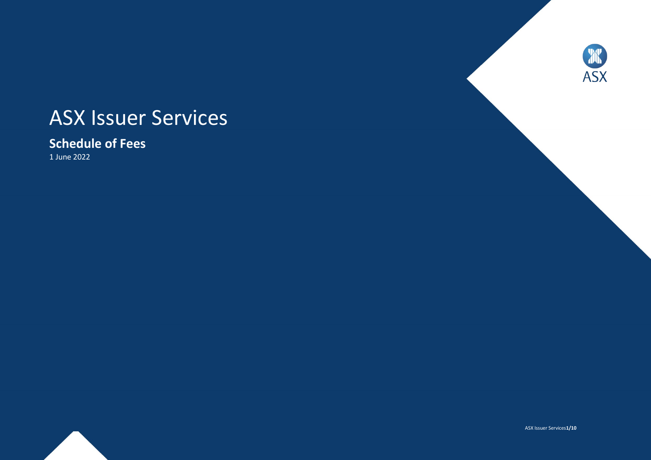# ASX Issuer Services

# **Schedule of Fees**

1 June 2022





ASX Issuer Services**1/10**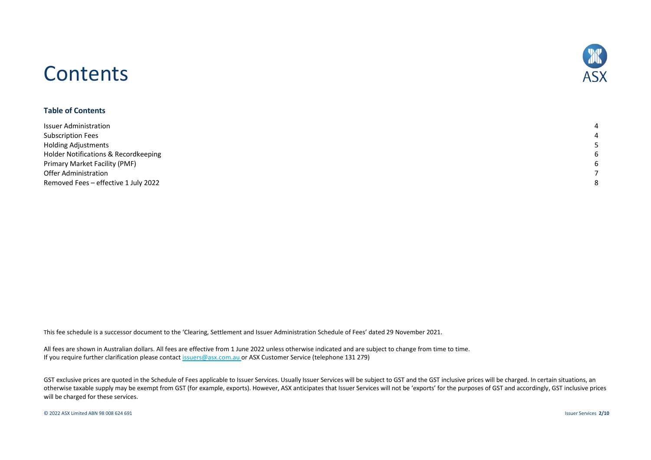# **Contents**



#### **Table of Contents**

| <b>Issuer Administration</b>         |  |
|--------------------------------------|--|
| <b>Subscription Fees</b>             |  |
| <b>Holding Adjustments</b>           |  |
| Holder Notifications & Recordkeeping |  |
| Primary Market Facility (PMF)        |  |
| Offer Administration                 |  |
| Removed Fees - effective 1 July 2022 |  |

This fee schedule is a successor document to the 'Clearing, Settlement and Issuer Administration Schedule of Fees' dated 29 November 2021.

All fees are shown in Australian dollars. All fees are effective from 1 June 2022 unless otherwise indicated and are subject to change from time to time. If you require further clarification please contact [issuers@asx.com.au](mailto:issuers@asx.com.au?subject=Fee%20query) or ASX Customer Service (telephone 131 279)

GST exclusive prices are quoted in the Schedule of Fees applicable to Issuer Services. Usually Issuer Services will be subject to GST and the GST inclusive prices will be charged. In certain situations, an otherwise taxable supply may be exempt from GST (for example, exports). However, ASX anticipates that Issuer Services will not be 'exports' for the purposes of GST and accordingly, GST inclusive prices will be charged for these services.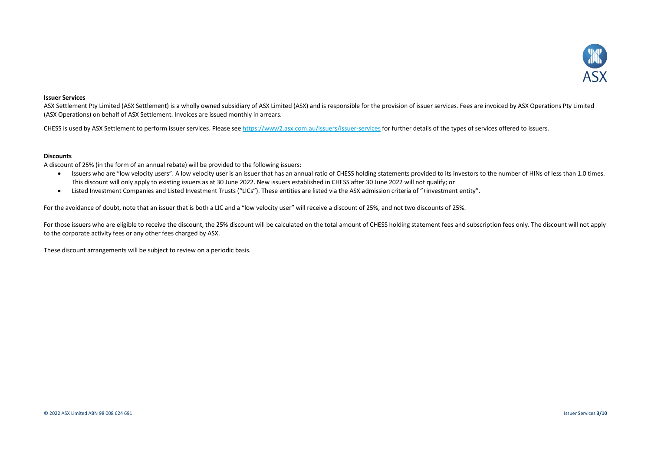

#### **Issuer Services**

ASX Settlement Pty Limited (ASX Settlement) is a wholly owned subsidiary of ASX Limited (ASX) and is responsible for the provision of issuer services. Fees are invoiced by ASX Operations Pty Limited (ASX Operations) on behalf of ASX Settlement. Invoices are issued monthly in arrears.

CHESS is used by ASX Settlement to perform issuer services. Please see<https://www2.asx.com.au/issuers/issuer-services> for further details of the types of services offered to issuers.

#### **Discounts**

A discount of 25% (in the form of an annual rebate) will be provided to the following issuers:

- Issuers who are "low velocity users". A low velocity user is an issuer that has an annual ratio of CHESS holding statements provided to its investors to the number of HINs of less than 1.0 times. This discount will only apply to existing issuers as at 30 June 2022. New issuers established in CHESS after 30 June 2022 will not qualify; or
- Listed Investment Companies and Listed Investment Trusts ("LICs"). These entities are listed via the ASX admission criteria of "+investment entity".

For the avoidance of doubt, note that an issuer that is both a LIC and a "low velocity user" will receive a discount of 25%, and not two discounts of 25%.

For those issuers who are eligible to receive the discount, the 25% discount will be calculated on the total amount of CHESS holding statement fees and subscription fees only. The discount will not apply to the corporate activity fees or any other fees charged by ASX.

These discount arrangements will be subject to review on a periodic basis.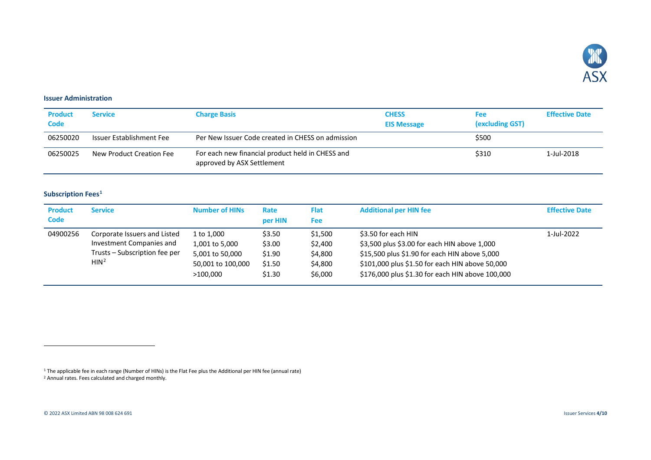<span id="page-3-3"></span><span id="page-3-2"></span>

#### <span id="page-3-0"></span>**Issuer Administration**

| <b>Product</b><br><b>Code</b> | <b>Service</b>           | <b>Charge Basis</b>                                                            | <b>CHESS</b><br><b>EIS Message</b> | Fee<br>(excluding GST) | <b>Effective Date</b> |
|-------------------------------|--------------------------|--------------------------------------------------------------------------------|------------------------------------|------------------------|-----------------------|
| 06250020                      | Issuer Establishment Fee | Per New Issuer Code created in CHESS on admission                              |                                    | \$500                  |                       |
| 06250025                      | New Product Creation Fee | For each new financial product held in CHESS and<br>approved by ASX Settlement |                                    | \$310                  | 1-Jul-2018            |

## <span id="page-3-1"></span>**Subscription Fees[1](#page-3-2)**

| <b>Product</b><br><b>Code</b> | <b>Service</b>                                                                                                | <b>Number of HINS</b>                                                            | Rate<br>per HIN                                | <b>Flat</b><br><b>Fee</b>                           | <b>Additional per HIN fee</b>                                                                                                                                                                                               | <b>Effective Date</b> |
|-------------------------------|---------------------------------------------------------------------------------------------------------------|----------------------------------------------------------------------------------|------------------------------------------------|-----------------------------------------------------|-----------------------------------------------------------------------------------------------------------------------------------------------------------------------------------------------------------------------------|-----------------------|
| 04900256                      | Corporate Issuers and Listed<br>Investment Companies and<br>Trusts - Subscription fee per<br>HIN <sup>2</sup> | 1 to 1,000<br>1,001 to 5,000<br>5,001 to 50,000<br>50,001 to 100,000<br>>100,000 | \$3.50<br>\$3.00<br>\$1.90<br>\$1.50<br>\$1.30 | \$1,500<br>\$2,400<br>\$4,800<br>\$4,800<br>\$6,000 | \$3.50 for each HIN<br>\$3,500 plus \$3.00 for each HIN above 1,000<br>\$15,500 plus \$1.90 for each HIN above 5,000<br>\$101,000 plus \$1.50 for each HIN above 50,000<br>\$176,000 plus \$1.30 for each HIN above 100,000 | 1-Jul-2022            |

<sup>1</sup> The applicable fee in each range (Number of HINs) is the Flat Fee plus the Additional per HIN fee (annual rate) <sup>2</sup> Annual rates. Fees calculated and charged monthly.

j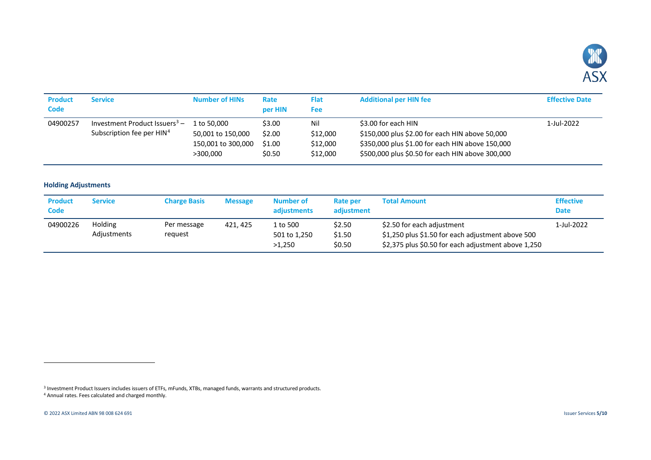<span id="page-4-2"></span><span id="page-4-1"></span>

| <b>Product</b><br><b>Code</b> | Service                                                                   | <b>Number of HINS</b>                                              | Rate<br>per HIN                      | <b>Flat</b><br>Fee                      | <b>Additional per HIN fee</b>                                                                                                                                                  | <b>Effective Date</b> |
|-------------------------------|---------------------------------------------------------------------------|--------------------------------------------------------------------|--------------------------------------|-----------------------------------------|--------------------------------------------------------------------------------------------------------------------------------------------------------------------------------|-----------------------|
| 04900257                      | Investment Product Issuers $3 -$<br>Subscription fee per HIN <sup>4</sup> | 1 to 50,000<br>50,001 to 150,000<br>150,001 to 300,000<br>>300.000 | \$3.00<br>\$2.00<br>\$1.00<br>\$0.50 | Nil<br>\$12,000<br>\$12,000<br>\$12,000 | \$3.00 for each HIN<br>\$150,000 plus \$2.00 for each HIN above 50,000<br>\$350,000 plus \$1.00 for each HIN above 150,000<br>\$500,000 plus \$0.50 for each HIN above 300,000 | 1-Jul-2022            |

#### <span id="page-4-0"></span>**Holding Adjustments**

| <b>Product</b><br>Code | Service                | <b>Charge Basis</b>    | <b>Message</b> | Number of<br>adjustments           | Rate per<br>adjustment     | <b>Total Amount</b>                                                                                                                    | <b>Effective</b><br><b>Date</b> |
|------------------------|------------------------|------------------------|----------------|------------------------------------|----------------------------|----------------------------------------------------------------------------------------------------------------------------------------|---------------------------------|
| 04900226               | Holding<br>Adjustments | Per message<br>reguest | 421, 425       | 1 to 500<br>501 to 1,250<br>>1.250 | \$2.50<br>\$1.50<br>\$0.50 | \$2.50 for each adjustment<br>\$1,250 plus \$1.50 for each adjustment above 500<br>\$2,375 plus \$0.50 for each adjustment above 1,250 | 1-Jul-2022                      |

 $\overline{a}$ 

<sup>3</sup> Investment Product Issuers includes issuers of ETFs, mFunds, XTBs, managed funds, warrants and structured products.

<sup>4</sup> Annual rates. Fees calculated and charged monthly.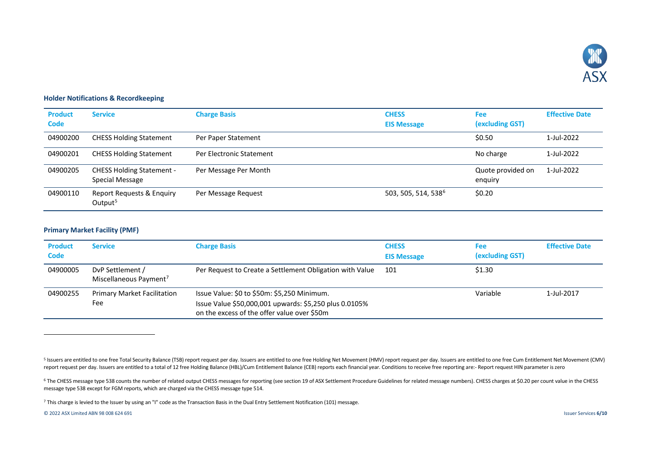<span id="page-5-4"></span><span id="page-5-3"></span><span id="page-5-2"></span>

### <span id="page-5-0"></span>**Holder Notifications & Recordkeeping**

| <b>Product</b><br>Code | <b>Service</b>                                      | <b>Charge Basis</b>      | <b>CHESS</b><br><b>EIS Message</b> | <b>Fee</b><br>(excluding GST) | <b>Effective Date</b> |
|------------------------|-----------------------------------------------------|--------------------------|------------------------------------|-------------------------------|-----------------------|
| 04900200               | <b>CHESS Holding Statement</b>                      | Per Paper Statement      |                                    | \$0.50                        | 1-Jul-2022            |
| 04900201               | <b>CHESS Holding Statement</b>                      | Per Electronic Statement |                                    | No charge                     | 1-Jul-2022            |
| 04900205               | <b>CHESS Holding Statement -</b><br>Special Message | Per Message Per Month    |                                    | Quote provided on<br>enguiry  | 1-Jul-2022            |
| 04900110               | Report Requests & Enquiry<br>Output <sup>5</sup>    | Per Message Request      | 503, 505, 514, 538 <sup>6</sup>    | \$0.20                        |                       |

#### <span id="page-5-1"></span>**Primary Market Facility (PMF)**

| <b>Product</b><br>Code | <b>Service</b>                                         | <b>Charge Basis</b>                                                                                                                                  | <b>CHESS</b><br><b>EIS Message</b> | <b>Fee</b><br>(excluding GST) | <b>Effective Date</b> |
|------------------------|--------------------------------------------------------|------------------------------------------------------------------------------------------------------------------------------------------------------|------------------------------------|-------------------------------|-----------------------|
| 04900005               | DvP Settlement /<br>Miscellaneous Payment <sup>7</sup> | Per Request to Create a Settlement Obligation with Value                                                                                             | 101                                | \$1.30                        |                       |
| 04900255               | <b>Primary Market Facilitation</b><br>Fee              | Issue Value: \$0 to \$50m: \$5,250 Minimum.<br>Issue Value \$50,000,001 upwards: \$5,250 plus 0.0105%<br>on the excess of the offer value over \$50m |                                    | Variable                      | 1-Jul-2017            |

<sup>6</sup> The CHESS message type 538 counts the number of related output CHESS messages for reporting (see section 19 of ASX Settlement Procedure Guidelines for related message numbers). CHESS charges at \$0.20 per count value in message type 538 except for FGM reports, which are charged via the CHESS message type 514.

<sup>7</sup> This charge is levied to the Issuer by using an "I" code as the Transaction Basis in the Dual Entry Settlement Notification (101) message.

© 2022 ASX Limited ABN 98 008 624 691 Issuer Services **6/10**

j

<sup>5</sup> Issuers are entitled to one free Total Security Balance (TSB) report request per day. Issuers are entitled to one free Holding Net Movement (HMV) report request per day. Issuers are entitled to one free Cum Entitlement N report request per day. Issuers are entitled to a total of 12 free Holding Balance (HBL)/Cum Entitlement Balance (CEB) reports each financial year. Conditions to receive free reporting are:- Report request HIN parameter is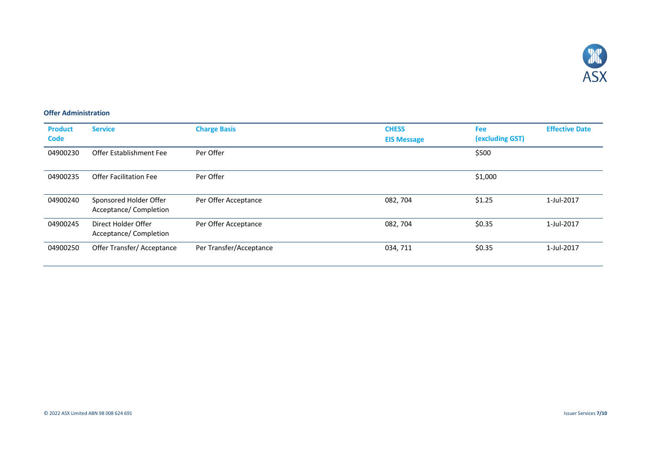

### <span id="page-6-0"></span>**Offer Administration**

| <b>Product</b><br><b>Code</b> | <b>Service</b>                                   | <b>Charge Basis</b>     | <b>CHESS</b><br><b>EIS Message</b> | <b>Fee</b><br>(excluding GST) | <b>Effective Date</b> |
|-------------------------------|--------------------------------------------------|-------------------------|------------------------------------|-------------------------------|-----------------------|
| 04900230                      | Offer Establishment Fee                          | Per Offer               |                                    | \$500                         |                       |
| 04900235                      | Offer Facilitation Fee                           | Per Offer               |                                    | \$1,000                       |                       |
| 04900240                      | Sponsored Holder Offer<br>Acceptance/ Completion | Per Offer Acceptance    | 082, 704                           | \$1.25                        | 1-Jul-2017            |
| 04900245                      | Direct Holder Offer<br>Acceptance/ Completion    | Per Offer Acceptance    | 082, 704                           | \$0.35                        | 1-Jul-2017            |
| 04900250                      | Offer Transfer/Acceptance                        | Per Transfer/Acceptance | 034, 711                           | \$0.35                        | 1-Jul-2017            |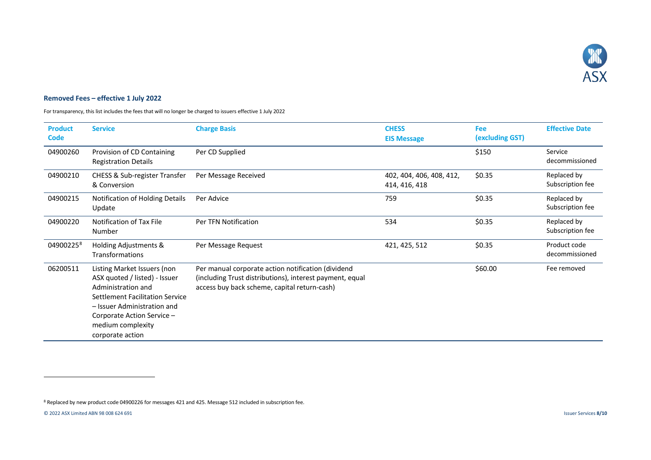<span id="page-7-1"></span>

### <span id="page-7-0"></span>**Removed Fees – effective 1 July 2022**

For transparency, this list includes the fees that will no longer be charged to issuers effective 1 July 2022

| <b>Product</b><br><b>Code</b> | <b>Service</b>                                                                                                                                                                                                              | <b>Charge Basis</b>                                                                                                                                            | <b>CHESS</b><br><b>EIS Message</b>        | Fee<br>(excluding GST) | <b>Effective Date</b>           |
|-------------------------------|-----------------------------------------------------------------------------------------------------------------------------------------------------------------------------------------------------------------------------|----------------------------------------------------------------------------------------------------------------------------------------------------------------|-------------------------------------------|------------------------|---------------------------------|
| 04900260                      | Provision of CD Containing<br><b>Registration Details</b>                                                                                                                                                                   | Per CD Supplied                                                                                                                                                |                                           | \$150                  | Service<br>decommissioned       |
| 04900210                      | <b>CHESS &amp; Sub-register Transfer</b><br>& Conversion                                                                                                                                                                    | Per Message Received                                                                                                                                           | 402, 404, 406, 408, 412,<br>414, 416, 418 | \$0.35                 | Replaced by<br>Subscription fee |
| 04900215                      | Notification of Holding Details<br>Update                                                                                                                                                                                   | Per Advice                                                                                                                                                     | 759                                       | \$0.35                 | Replaced by<br>Subscription fee |
| 04900220                      | Notification of Tax File<br>Number                                                                                                                                                                                          | Per TFN Notification                                                                                                                                           | 534                                       | \$0.35                 | Replaced by<br>Subscription fee |
| 04900225 <sup>8</sup>         | Holding Adjustments &<br>Transformations                                                                                                                                                                                    | Per Message Request                                                                                                                                            | 421, 425, 512                             | \$0.35                 | Product code<br>decommissioned  |
| 06200511                      | Listing Market Issuers (non<br>ASX quoted / listed) - Issuer<br>Administration and<br>Settlement Facilitation Service<br>- Issuer Administration and<br>Corporate Action Service -<br>medium complexity<br>corporate action | Per manual corporate action notification (dividend<br>(including Trust distributions), interest payment, equal<br>access buy back scheme, capital return-cash) |                                           | \$60.00                | Fee removed                     |

l

<sup>8</sup> Replaced by new product code 04900226 for messages 421 and 425. Message 512 included in subscription fee.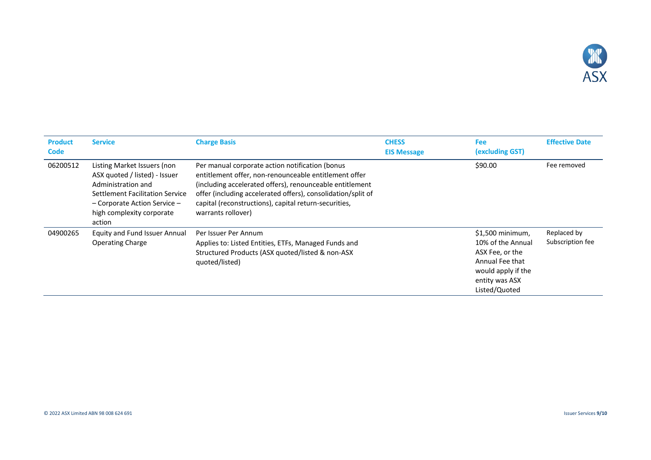

| <b>Product</b><br><b>Code</b> | <b>Service</b>                                                                                                                                                                                   | <b>Charge Basis</b>                                                                                                                                                                                                                                                                                                 | <b>CHESS</b><br><b>EIS Message</b> | <b>Fee</b><br>(excluding GST)                                                                                                         | <b>Effective Date</b>           |
|-------------------------------|--------------------------------------------------------------------------------------------------------------------------------------------------------------------------------------------------|---------------------------------------------------------------------------------------------------------------------------------------------------------------------------------------------------------------------------------------------------------------------------------------------------------------------|------------------------------------|---------------------------------------------------------------------------------------------------------------------------------------|---------------------------------|
| 06200512                      | Listing Market Issuers (non<br>ASX quoted / listed) - Issuer<br>Administration and<br>Settlement Facilitation Service<br>$-$ Corporate Action Service $-$<br>high complexity corporate<br>action | Per manual corporate action notification (bonus<br>entitlement offer, non-renounceable entitlement offer<br>(including accelerated offers), renounceable entitlement<br>offer (including accelerated offers), consolidation/split of<br>capital (reconstructions), capital return-securities,<br>warrants rollover) |                                    | \$90.00                                                                                                                               | Fee removed                     |
| 04900265                      | <b>Equity and Fund Issuer Annual</b><br><b>Operating Charge</b>                                                                                                                                  | Per Issuer Per Annum<br>Applies to: Listed Entities, ETFs, Managed Funds and<br>Structured Products (ASX quoted/listed & non-ASX<br>quoted/listed)                                                                                                                                                                  |                                    | $$1,500$ minimum,<br>10% of the Annual<br>ASX Fee, or the<br>Annual Fee that<br>would apply if the<br>entity was ASX<br>Listed/Quoted | Replaced by<br>Subscription fee |